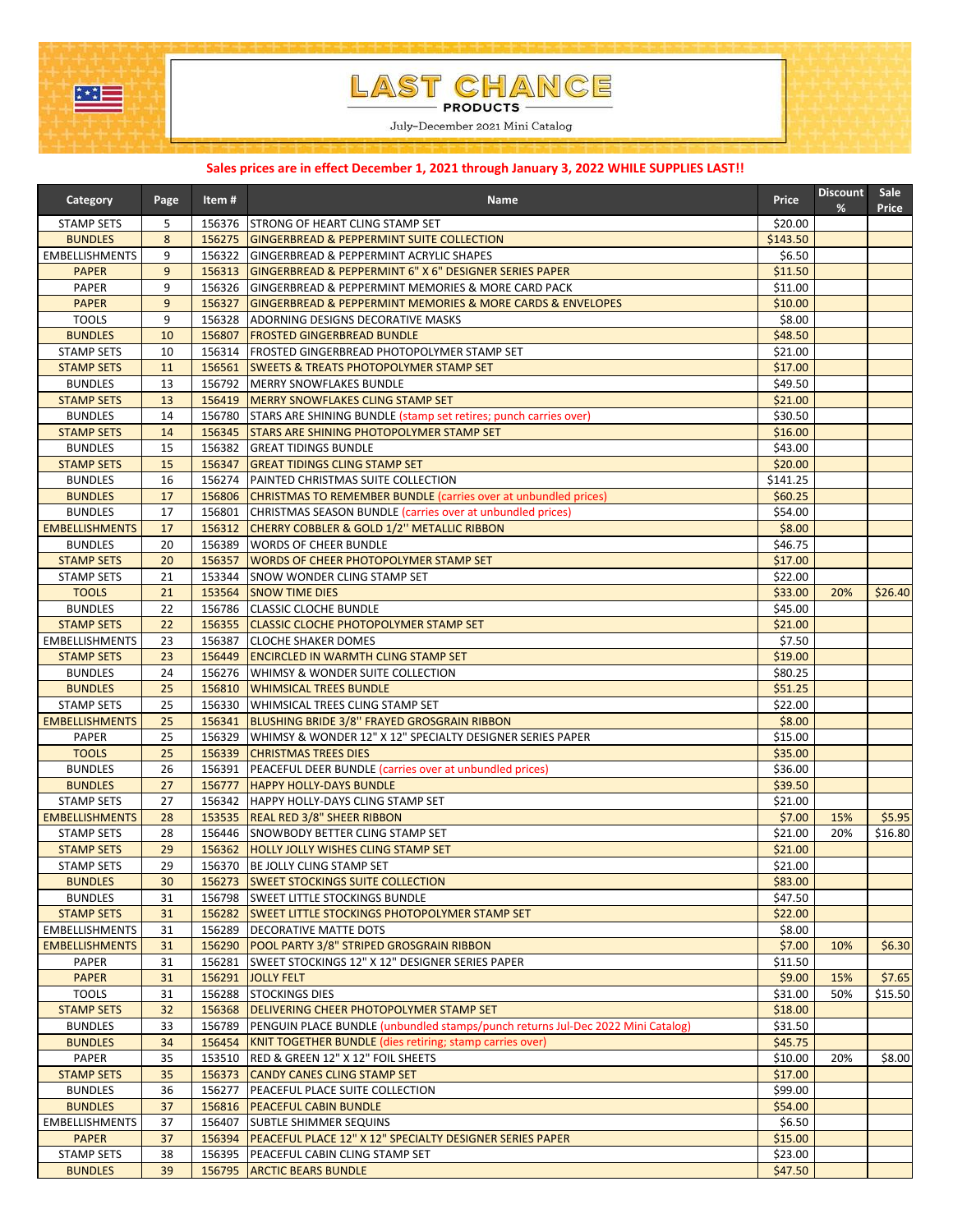

LAST CHANCE

July-December 2021 Mini Catalog

## **Sales prices are in effect December 1, 2021 through January 3, 2022 WHILE SUPPLIES LAST!!**

| Category                               | Page            | Item # | Name                                                                                                                                         | Price              | <b>Discount</b><br>% | Sale<br>Price |
|----------------------------------------|-----------------|--------|----------------------------------------------------------------------------------------------------------------------------------------------|--------------------|----------------------|---------------|
| <b>STAMP SETS</b>                      | 5               |        | 156376 STRONG OF HEART CLING STAMP SET                                                                                                       | \$20.00            |                      |               |
| <b>BUNDLES</b>                         | 8               |        | 156275 GINGERBREAD & PEPPERMINT SUITE COLLECTION                                                                                             | \$143.50           |                      |               |
| <b>EMBELLISHMENTS</b>                  | 9               |        | 156322 GINGERBREAD & PEPPERMINT ACRYLIC SHAPES                                                                                               | \$6.50             |                      |               |
| <b>PAPER</b>                           | 9               |        | 156313 GINGERBREAD & PEPPERMINT 6" X 6" DESIGNER SERIES PAPER                                                                                | \$11.50            |                      |               |
| PAPER                                  | 9               |        | 156326 GINGERBREAD & PEPPERMINT MEMORIES & MORE CARD PACK                                                                                    | \$11.00            |                      |               |
| <b>PAPER</b>                           | 9               |        | 156327 GINGERBREAD & PEPPERMINT MEMORIES & MORE CARDS & ENVELOPES                                                                            | \$10.00            |                      |               |
| <b>TOOLS</b>                           | 9               |        | 156328 ADORNING DESIGNS DECORATIVE MASKS                                                                                                     | \$8.00             |                      |               |
| <b>BUNDLES</b>                         | 10              |        | 156807   FROSTED GINGERBREAD BUNDLE                                                                                                          | \$48.50            |                      |               |
| <b>STAMP SETS</b>                      | 10              |        | 156314   FROSTED GINGERBREAD PHOTOPOLYMER STAMP SET                                                                                          | \$21.00            |                      |               |
| <b>STAMP SETS</b>                      | 11              | 156561 | <b>SWEETS &amp; TREATS PHOTOPOLYMER STAMP SET</b>                                                                                            | \$17.00            |                      |               |
| <b>BUNDLES</b>                         | 13              |        | 156792 MERRY SNOWFLAKES BUNDLE                                                                                                               | \$49.50            |                      |               |
| <b>STAMP SETS</b>                      | 13              |        | 156419 MERRY SNOWFLAKES CLING STAMP SET                                                                                                      | \$21.00            |                      |               |
| <b>BUNDLES</b>                         | 14              |        | 156780 STARS ARE SHINING BUNDLE (stamp set retires; punch carries over)                                                                      | \$30.50            |                      |               |
| <b>STAMP SETS</b>                      | 14              |        | 156345 STARS ARE SHINING PHOTOPOLYMER STAMP SET                                                                                              | \$16.00            |                      |               |
| <b>BUNDLES</b>                         | 15              |        | 156382 GREAT TIDINGS BUNDLE                                                                                                                  | \$43.00            |                      |               |
| <b>STAMP SETS</b>                      | 15              | 156347 | <b>GREAT TIDINGS CLING STAMP SET</b>                                                                                                         | \$20.00            |                      |               |
| <b>BUNDLES</b>                         | 16              |        | 156274 PAINTED CHRISTMAS SUITE COLLECTION                                                                                                    | \$141.25           |                      |               |
| <b>BUNDLES</b>                         | 17              |        | 156806 CHRISTMAS TO REMEMBER BUNDLE (carries over at unbundled prices)                                                                       | \$60.25            |                      |               |
| <b>BUNDLES</b>                         | 17              | 156801 | CHRISTMAS SEASON BUNDLE (carries over at unbundled prices)<br>156312 CHERRY COBBLER & GOLD 1/2" METALLIC RIBBON                              | \$54.00            |                      |               |
| <b>EMBELLISHMENTS</b>                  | 17              |        |                                                                                                                                              | \$8.00             |                      |               |
| <b>BUNDLES</b>                         | 20<br>20        |        | 156389 WORDS OF CHEER BUNDLE<br>156357 WORDS OF CHEER PHOTOPOLYMER STAMP SET                                                                 | \$46.75            |                      |               |
| <b>STAMP SETS</b><br><b>STAMP SETS</b> | 21              |        | 153344 ISNOW WONDER CLING STAMP SET                                                                                                          | \$17.00<br>\$22.00 |                      |               |
| <b>TOOLS</b>                           | 21              |        | 153564 SNOW TIME DIES                                                                                                                        | \$33.00            | 20%                  | \$26.40       |
| <b>BUNDLES</b>                         | 22              |        | 156786 CLASSIC CLOCHE BUNDLE                                                                                                                 | \$45.00            |                      |               |
| <b>STAMP SETS</b>                      | 22              |        | 156355 CLASSIC CLOCHE PHOTOPOLYMER STAMP SET                                                                                                 | \$21.00            |                      |               |
| <b>EMBELLISHMENTS</b>                  | 23              |        | 156387 CLOCHE SHAKER DOMES                                                                                                                   | \$7.50             |                      |               |
| <b>STAMP SETS</b>                      | 23              |        | 156449 ENCIRCLED IN WARMTH CLING STAMP SET                                                                                                   | \$19.00            |                      |               |
| <b>BUNDLES</b>                         | 24              |        | 156276 WHIMSY & WONDER SUITE COLLECTION                                                                                                      | \$80.25            |                      |               |
| <b>BUNDLES</b>                         | 25              |        | 156810 WHIMSICAL TREES BUNDLE                                                                                                                | \$51.25            |                      |               |
| <b>STAMP SETS</b>                      | 25              |        | 156330 WHIMSICAL TREES CLING STAMP SET                                                                                                       | \$22.00            |                      |               |
| <b>EMBELLISHMENTS</b>                  | 25              |        | 156341 BLUSHING BRIDE 3/8" FRAYED GROSGRAIN RIBBON                                                                                           | \$8.00             |                      |               |
| PAPER                                  | 25              |        | 156329 WHIMSY & WONDER 12" X 12" SPECIALTY DESIGNER SERIES PAPER                                                                             | \$15.00            |                      |               |
| <b>TOOLS</b>                           | 25              |        | 156339 CHRISTMAS TREES DIES                                                                                                                  | \$35.00            |                      |               |
| <b>BUNDLES</b>                         | 26              | 156391 | PEACEFUL DEER BUNDLE (carries over at unbundled prices)                                                                                      | \$36.00            |                      |               |
| <b>BUNDLES</b>                         | 27              |        | 156777   HAPPY HOLLY-DAYS BUNDLE                                                                                                             | \$39.50            |                      |               |
| <b>STAMP SETS</b>                      | 27              |        | 156342 HAPPY HOLLY-DAYS CLING STAMP SET                                                                                                      | \$21.00            |                      |               |
| <b>EMBELLISHMENTS</b>                  | 28              |        | 153535 REAL RED 3/8" SHEER RIBBON                                                                                                            | \$7.00             | 15%                  | \$5.95        |
| <b>STAMP SETS</b>                      | 28              |        | 156446 SNOWBODY BETTER CLING STAMP SET                                                                                                       | \$21.00            | 20%                  | \$16.80       |
| <b>STAMP SETS</b>                      | 29              |        | 156362 HOLLY JOLLY WISHES CLING STAMP SET                                                                                                    | \$21.00            |                      |               |
| <b>STAMP SETS</b>                      | 29              |        | 156370 BE JOLLY CLING STAMP SET                                                                                                              | \$21.00            |                      |               |
| <b>BUNDLES</b>                         | 30 <sub>o</sub> |        | 156273 SWEET STOCKINGS SUITE COLLECTION                                                                                                      | \$83.00            |                      |               |
| <b>BUNDLES</b>                         | 31              |        | 156798 SWEET LITTLE STOCKINGS BUNDLE                                                                                                         | \$47.50            |                      |               |
| <b>STAMP SETS</b>                      | 31              |        | 156282 SWEET LITTLE STOCKINGS PHOTOPOLYMER STAMP SET                                                                                         | \$22.00            |                      |               |
| <b>EMBELLISHMENTS</b>                  | 31              |        | 156289   DECORATIVE MATTE DOTS                                                                                                               | \$8.00             |                      |               |
| <b>EMBELLISHMENTS</b>                  | 31              |        | 156290 POOL PARTY 3/8" STRIPED GROSGRAIN RIBBON                                                                                              | \$7.00             | 10%                  | \$6.30        |
| PAPER                                  | 31              |        | 156281 SWEET STOCKINGS 12" X 12" DESIGNER SERIES PAPER                                                                                       | \$11.50            |                      |               |
| <b>PAPER</b>                           | 31              |        | 156291 JOLLY FELT                                                                                                                            | \$9.00             | 15%                  | \$7.65        |
| <b>TOOLS</b>                           | 31              |        | 156288 STOCKINGS DIES                                                                                                                        | \$31.00            | 50%                  | \$15.50       |
| <b>STAMP SETS</b><br><b>BUNDLES</b>    | 32<br>33        |        | 156368   DELIVERING CHEER PHOTOPOLYMER STAMP SET<br>156789   PENGUIN PLACE BUNDLE (unbundled stamps/punch returns Jul-Dec 2022 Mini Catalog) | \$18.00<br>\$31.50 |                      |               |
| <b>BUNDLES</b>                         | 34              |        | 156454   KNIT TOGETHER BUNDLE (dies retiring; stamp carries over)                                                                            | \$45.75            |                      |               |
| PAPER                                  | 35              |        | 153510 RED & GREEN 12" X 12" FOIL SHEETS                                                                                                     | \$10.00            | 20%                  | \$8.00        |
| <b>STAMP SETS</b>                      | 35              |        | 156373 CANDY CANES CLING STAMP SET                                                                                                           | \$17.00            |                      |               |
| <b>BUNDLES</b>                         | 36              |        | 156277   PEACEFUL PLACE SUITE COLLECTION                                                                                                     | \$99.00            |                      |               |
| <b>BUNDLES</b>                         | 37              |        | 156816 PEACEFUL CABIN BUNDLE                                                                                                                 | \$54.00            |                      |               |
| <b>EMBELLISHMENTS</b>                  | 37              |        | 156407 SUBTLE SHIMMER SEQUINS                                                                                                                | \$6.50             |                      |               |
| <b>PAPER</b>                           | 37              |        | 156394   PEACEFUL PLACE 12" X 12" SPECIALTY DESIGNER SERIES PAPER                                                                            | \$15.00            |                      |               |
| <b>STAMP SETS</b>                      | 38              |        | 156395 PEACEFUL CABIN CLING STAMP SET                                                                                                        | \$23.00            |                      |               |
| <b>BUNDLES</b>                         | 39              |        | 156795 ARCTIC BEARS BUNDLE                                                                                                                   | \$47.50            |                      |               |
|                                        |                 |        |                                                                                                                                              |                    |                      |               |